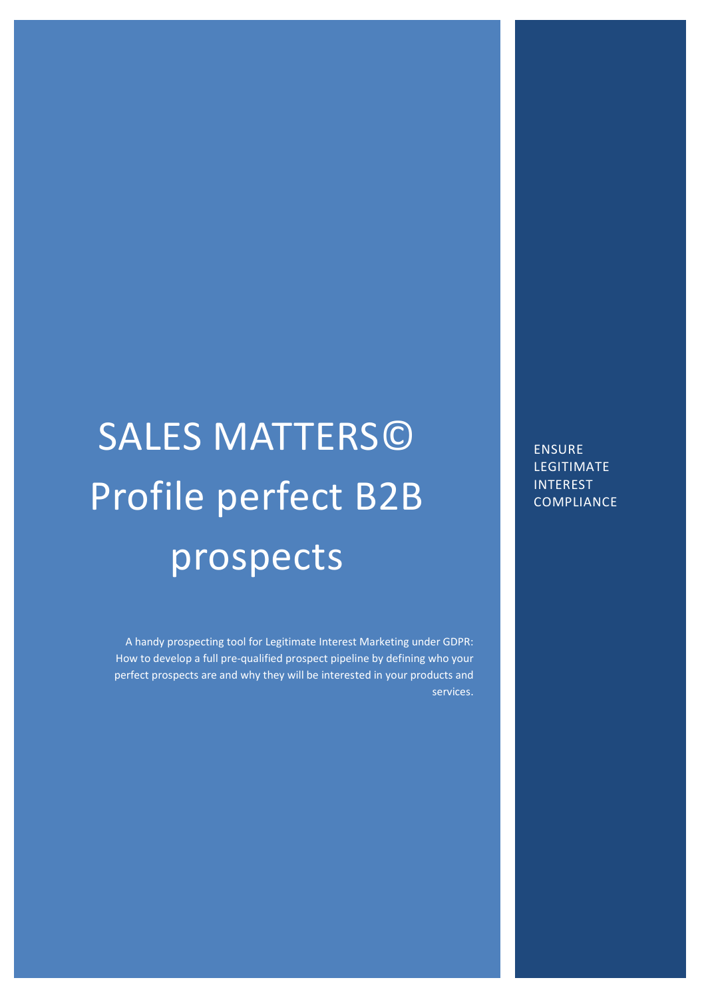# SALES MATTERS© Profile perfect B2B prospects

A handy prospecting tool for Legitimate Interest Marketing under GDPR: How to develop a full pre-qualified prospect pipeline by defining who your perfect prospects are and why they will be interested in your products and services.

**ENSURE** LEGITIMATE INTEREST **COMPLIANCE**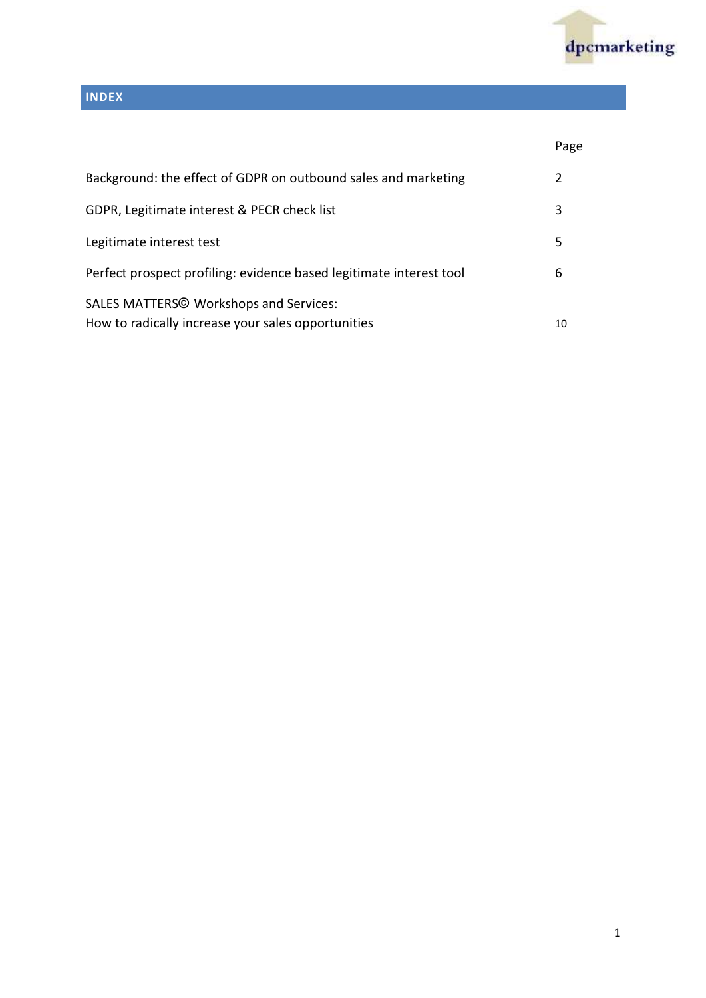

### **INDEX**

|                                                                                                     | Page |
|-----------------------------------------------------------------------------------------------------|------|
| Background: the effect of GDPR on outbound sales and marketing                                      | 2    |
| GDPR, Legitimate interest & PECR check list                                                         | 3    |
| Legitimate interest test                                                                            | 5    |
| Perfect prospect profiling: evidence based legitimate interest tool                                 | 6    |
| <b>SALES MATTERS© Workshops and Services:</b><br>How to radically increase your sales opportunities | 10   |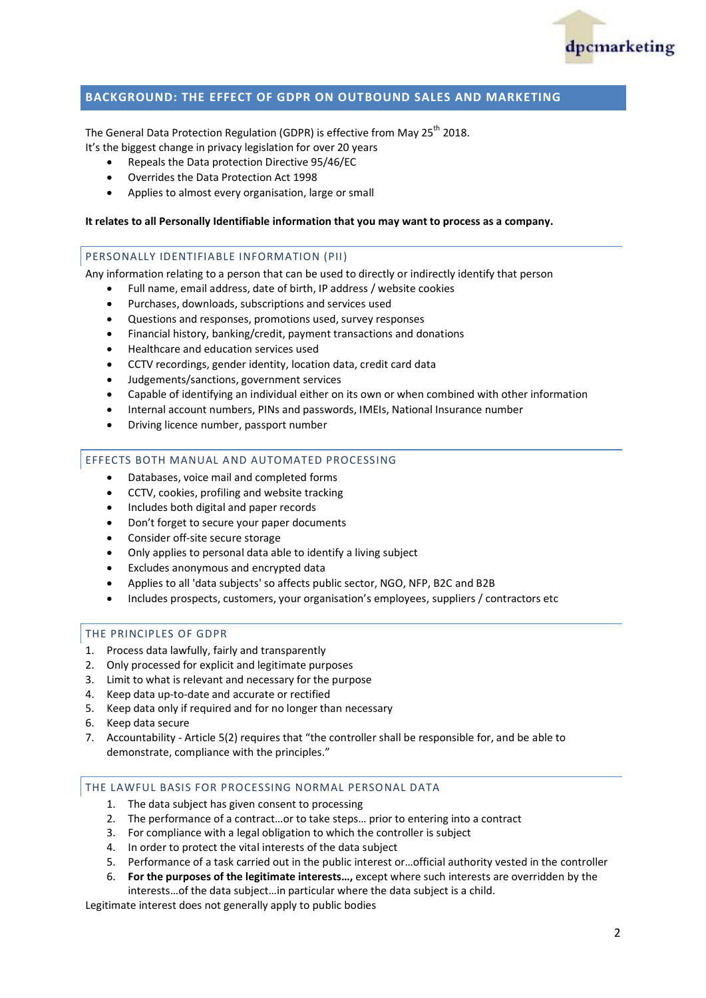

#### **BACKGROUND: THE EFFECT OF GDPR ON OUTBOUND SALES AND MARKETING**

The General Data Protection Regulation (GDPR) is effective from May 25<sup>th</sup> 2018. It's the biggest change in privacy legislation for over 20 years

- Repeals the Data protection Directive 95/46/EC
- Overrides the Data Protection Act 1998
- Applies to almost every organisation, large or small

#### **It relates to all Personally Identifiable information that you may want to process as a company.**

#### PERSONALLY IDENTIFIABLE INFORMATION (PII)

Any information relating to a person that can be used to directly or indirectly identify that person

- Full name, email address, date of birth, IP address / website cookies
- Purchases, downloads, subscriptions and services used
- Questions and responses, promotions used, survey responses
- Financial history, banking/credit, payment transactions and donations
- Healthcare and education services used
- CCTV recordings, gender identity, location data, credit card data
- Judgements/sanctions, government services
- Capable of identifying an individual either on its own or when combined with other information
- Internal account numbers, PINs and passwords, IMEIs, National Insurance number
- Driving licence number, passport number

#### EFFECTS BOTH MANUAL AND AUTOMATED PROCESSING

- Databases, voice mail and completed forms
- CCTV, cookies, profiling and website tracking
- Includes both digital and paper records
- Don't forget to secure your paper documents
- Consider off-site secure storage
- Only applies to personal data able to identify a living subject
- Excludes anonymous and encrypted data
- Applies to all 'data subjects' so affects public sector, NGO, NFP, B2C and B2B
- Includes prospects, customers, your organisation's employees, suppliers / contractors etc

#### THE PRINCIPLES OF GDPR

- 1. Process data lawfully, fairly and transparently
- 2. Only processed for explicit and legitimate purposes
- 3. Limit to what is relevant and necessary for the purpose
- 4. Keep data up-to-date and accurate or rectified
- 5. Keep data only if required and for no longer than necessary
- 6. Keep data secure
- 7. Accountability Article 5(2) requires that "the controller shall be responsible for, and be able to demonstrate, compliance with the principles."

#### THE LAWFUL BASIS FOR PROCESSING NORMAL PERSONAL DATA

- 1. The data subject has given consent to processing
- 2. The performance of a contract…or to take steps… prior to entering into a contract
- 3. For compliance with a legal obligation to which the controller is subject
- 4. In order to protect the vital interests of the data subject
- 5. Performance of a task carried out in the public interest or…official authority vested in the controller
- 6. **For the purposes of the legitimate interests…,** except where such interests are overridden by the

interests…of the data subject…in particular where the data subject is a child.

Legitimate interest does not generally apply to public bodies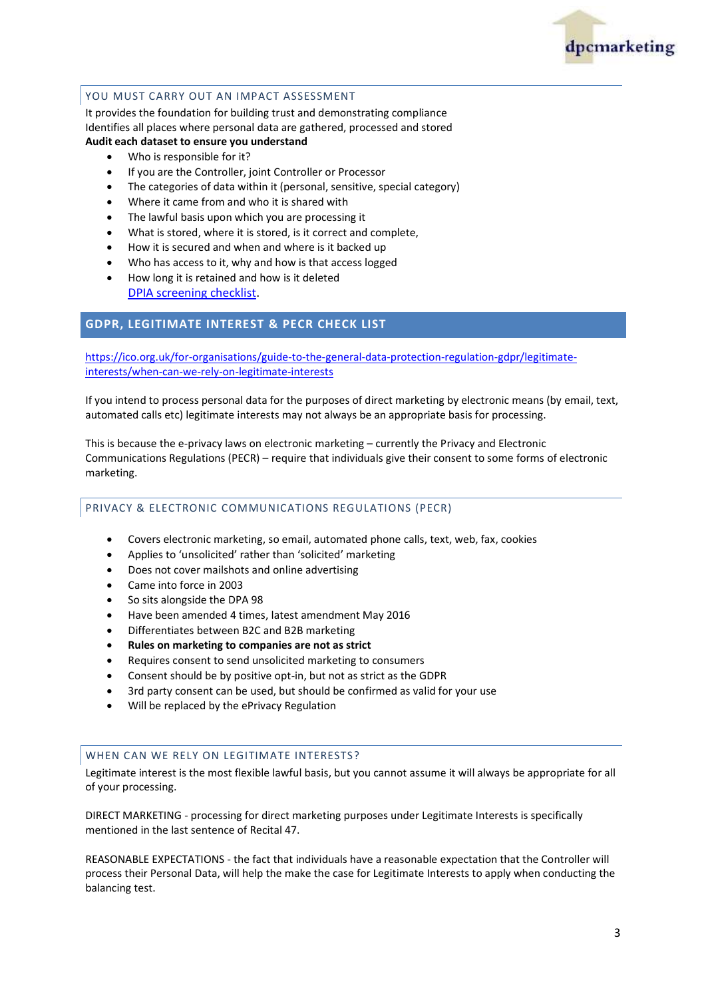

#### YOU MUST CARRY OUT AN IMPACT ASSESSMENT

It provides the foundation for building trust and demonstrating compliance Identifies all places where personal data are gathered, processed and stored **Audit each dataset to ensure you understand**

- Who is responsible for it?
- If you are the Controller, joint Controller or Processor
- The categories of data within it (personal, sensitive, special category)
- Where it came from and who it is shared with
- The lawful basis upon which you are processing it
- What is stored, where it is stored, is it correct and complete,
- How it is secured and when and where is it backed up
- Who has access to it, why and how is that access logged
- How long it is retained and how is it deleted [DPIA screening checklist.](https://ico.org.uk/for-organisations/guide-to-the-general-data-protection-regulation-gdpr/accountability-and-governance/data-protection-impact-assessments/)

#### **GDPR, LEGITIMATE INTEREST & PECR CHECK LIST**

[https://ico.org.uk/for-organisations/guide-to-the-general-data-protection-regulation-gdpr/legitimate](https://ico.org.uk/for-organisations/guide-to-the-general-data-protection-regulation-gdpr/legitimate-interests/when-can-we-rely-on-legitimate-interests)[interests/when-can-we-rely-on-legitimate-interests](https://ico.org.uk/for-organisations/guide-to-the-general-data-protection-regulation-gdpr/legitimate-interests/when-can-we-rely-on-legitimate-interests)

If you intend to process personal data for the purposes of direct marketing by electronic means (by email, text, automated calls etc) legitimate interests may not always be an appropriate basis for processing.

This is because the e-privacy laws on electronic marketing – currently the Privacy and Electronic Communications Regulations (PECR) – require that individuals give their consent to some forms of electronic marketing.

#### PRIVACY & ELECTRONIC COMMUNICATIONS REGULATIONS (PECR)

- Covers electronic marketing, so email, automated phone calls, text, web, fax, cookies
- Applies to 'unsolicited' rather than 'solicited' marketing
- Does not cover mailshots and online advertising
- Came into force in 2003
- So sits alongside the DPA 98
- Have been amended 4 times, latest amendment May 2016
- Differentiates between B2C and B2B marketing
- **Rules on marketing to companies are not as strict**
- Requires consent to send unsolicited marketing to consumers
- Consent should be by positive opt-in, but not as strict as the GDPR
- 3rd party consent can be used, but should be confirmed as valid for your use
- Will be replaced by the ePrivacy Regulation

#### WHEN CAN WE RELY ON LEGITIMATE INTERESTS?

Legitimate interest is the most flexible lawful basis, but you cannot assume it will always be appropriate for all of your processing.

DIRECT MARKETING - processing for direct marketing purposes under Legitimate Interests is specifically mentioned in the last sentence of Recital 47.

REASONABLE EXPECTATIONS - the fact that individuals have a reasonable expectation that the Controller will process their Personal Data, will help the make the case for Legitimate Interests to apply when conducting the balancing test.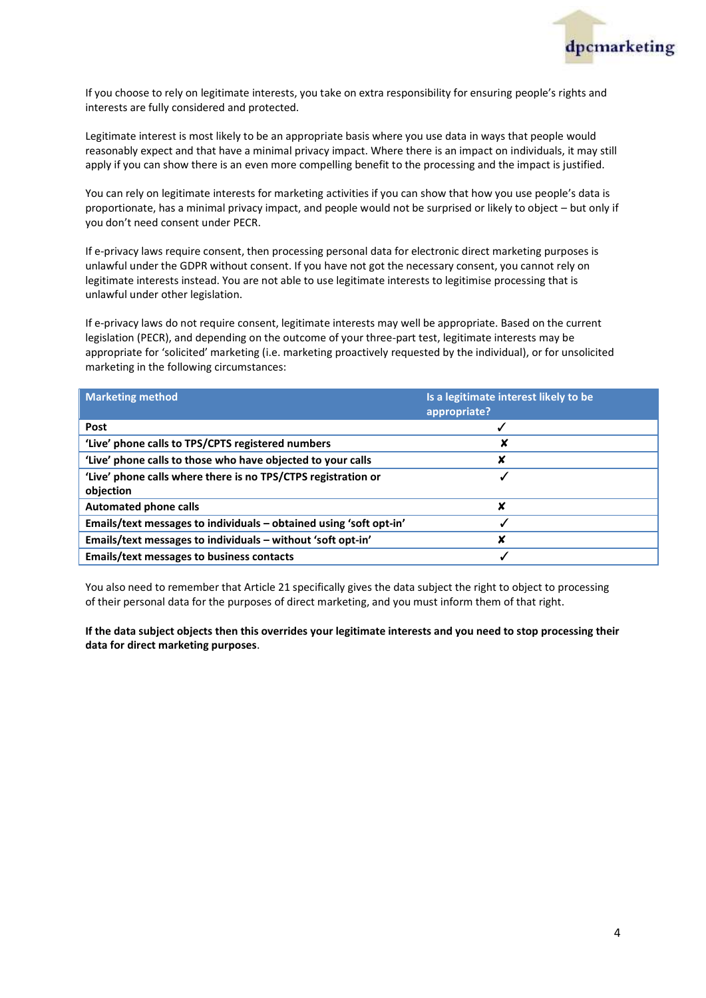

If you choose to rely on legitimate interests, you take on extra responsibility for ensuring people's rights and interests are fully considered and protected.

Legitimate interest is most likely to be an appropriate basis where you use data in ways that people would reasonably expect and that have a minimal privacy impact. Where there is an impact on individuals, it may still apply if you can show there is an even more compelling benefit to the processing and the impact is justified.

You can rely on legitimate interests for marketing activities if you can show that how you use people's data is proportionate, has a minimal privacy impact, and people would not be surprised or likely to object – but only if you don't need consent under PECR.

If e-privacy laws require consent, then processing personal data for electronic direct marketing purposes is unlawful under the GDPR without consent. If you have not got the necessary consent, you cannot rely on legitimate interests instead. You are not able to use legitimate interests to legitimise processing that is unlawful under other legislation.

If e-privacy laws do not require consent, legitimate interests may well be appropriate. Based on the current legislation (PECR), and depending on the outcome of your three-part test, legitimate interests may be appropriate for 'solicited' marketing (i.e. marketing proactively requested by the individual), or for unsolicited marketing in the following circumstances:

| <b>Marketing method</b>                                            | Is a legitimate interest likely to be<br>appropriate? |
|--------------------------------------------------------------------|-------------------------------------------------------|
| Post                                                               |                                                       |
| 'Live' phone calls to TPS/CPTS registered numbers                  |                                                       |
| 'Live' phone calls to those who have objected to your calls        | X                                                     |
| 'Live' phone calls where there is no TPS/CTPS registration or      |                                                       |
| objection                                                          |                                                       |
| <b>Automated phone calls</b>                                       | X                                                     |
| Emails/text messages to individuals - obtained using 'soft opt-in' |                                                       |
| Emails/text messages to individuals - without 'soft opt-in'        | X                                                     |
| Emails/text messages to business contacts                          |                                                       |

You also need to remember that Article 21 specifically gives the data subject the right to object to processing of their personal data for the purposes of direct marketing, and you must inform them of that right.

**If the data subject objects then this overrides your legitimate interests and you need to stop processing their data for direct marketing purposes**.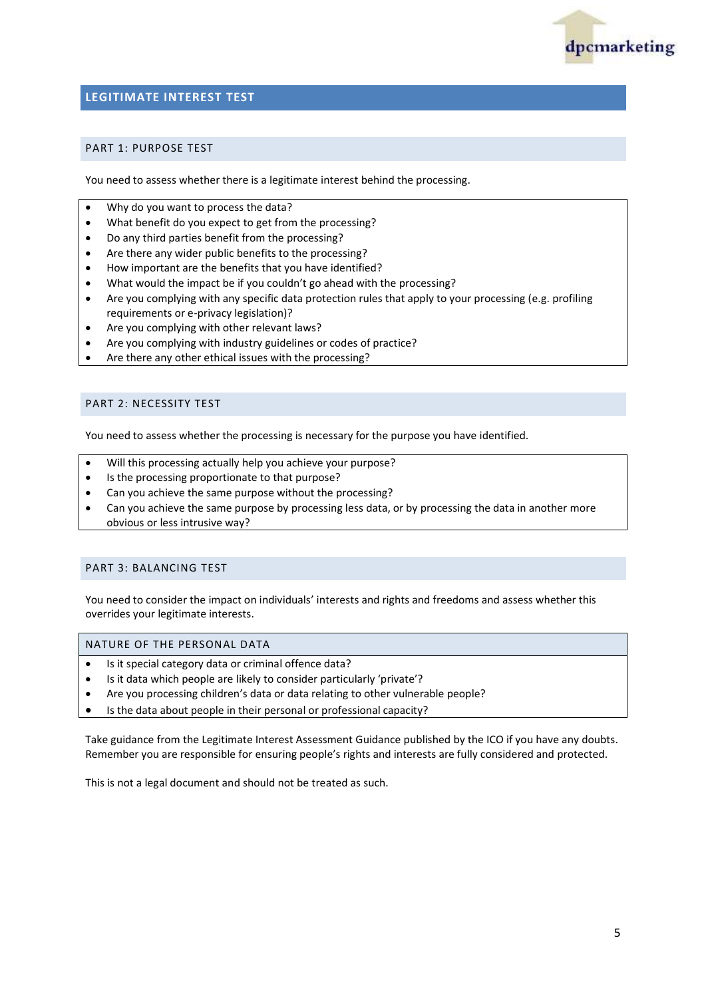

#### **LEGITIMATE INTEREST TEST**

#### PART 1: PURPOSE TEST

You need to assess whether there is a legitimate interest behind the processing.

- Why do you want to process the data?
- What benefit do you expect to get from the processing?
- Do any third parties benefit from the processing?
- Are there any wider public benefits to the processing?
- How important are the benefits that you have identified?
- What would the impact be if you couldn't go ahead with the processing?
- Are you complying with any specific data protection rules that apply to your processing (e.g. profiling requirements or e-privacy legislation)?
- Are you complying with other relevant laws?
- Are you complying with industry guidelines or codes of practice?
- Are there any other ethical issues with the processing?

#### PART 2: NECESSITY TEST

You need to assess whether the processing is necessary for the purpose you have identified.

- Will this processing actually help you achieve your purpose?
- Is the processing proportionate to that purpose?
- Can you achieve the same purpose without the processing?
- Can you achieve the same purpose by processing less data, or by processing the data in another more obvious or less intrusive way?

#### PART 3: BALANCING TEST

You need to consider the impact on individuals' interests and rights and freedoms and assess whether this overrides your legitimate interests.

#### NATURE OF THE PERSONAL DATA

- Is it special category data or criminal offence data?
- Is it data which people are likely to consider particularly 'private'?
- Are you processing children's data or data relating to other vulnerable people?
- Is the data about people in their personal or professional capacity?

Take guidance from the Legitimate Interest Assessment Guidance published by the ICO if you have any doubts. Remember you are responsible for ensuring people's rights and interests are fully considered and protected.

This is not a legal document and should not be treated as such.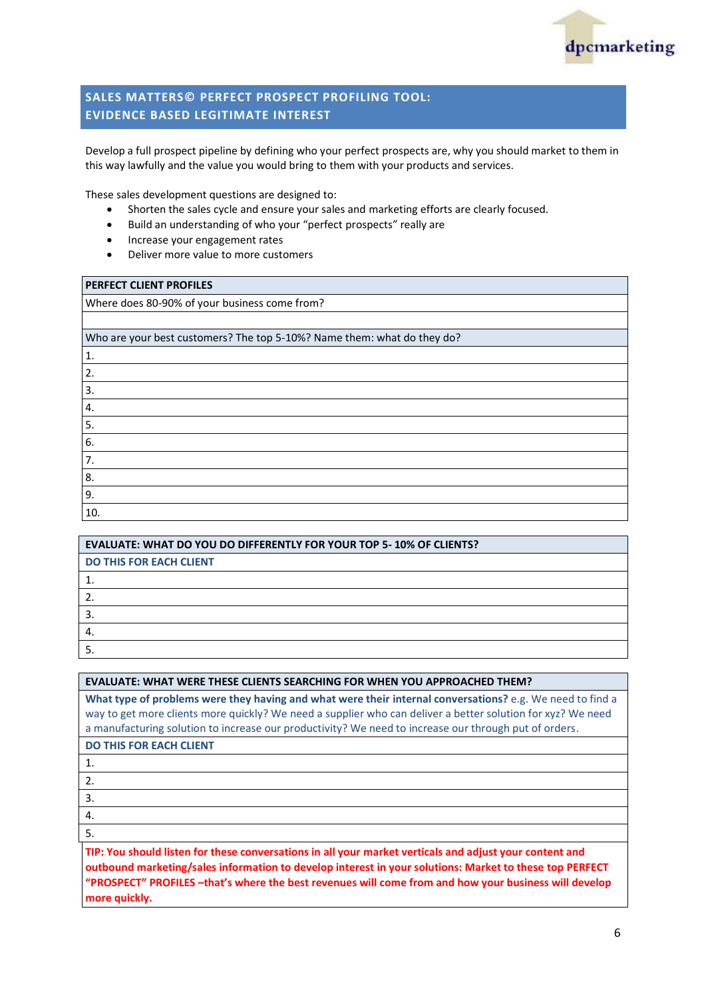

#### **SALES MATTERS© PERFECT PROSPECT PROFILING TOOL: EVIDENCE BASED LEGITIMATE INTEREST**

Develop a full prospect pipeline by defining who your perfect prospects are, why you should market to them in this way lawfully and the value you would bring to them with your products and services.

These sales development questions are designed to:

- Shorten the sales cycle and ensure your sales and marketing efforts are clearly focused.
- Build an understanding of who your "perfect prospects" really are
- Increase your engagement rates
- Deliver more value to more customers

| PERFECT CLIENT PROFILES                                                 |
|-------------------------------------------------------------------------|
| Where does 80-90% of your business come from?                           |
|                                                                         |
| Who are your best customers? The top 5-10%? Name them: what do they do? |
| 1.                                                                      |
| 2.                                                                      |
| 3.                                                                      |
| 4.                                                                      |
| 5.                                                                      |
| 6.                                                                      |
| 7.                                                                      |
| 8.                                                                      |
| 9.                                                                      |
| 10.                                                                     |

| <b>EVALUATE: WHAT DO YOU DO DIFFERENTLY FOR YOUR TOP 5-10% OF CLIENTS?</b> |
|----------------------------------------------------------------------------|
| <b>DO THIS FOR EACH CLIENT</b>                                             |
|                                                                            |
|                                                                            |
|                                                                            |
|                                                                            |
|                                                                            |

**What type of problems were they having and what were their internal conversations?** e.g. We need to find a way to get more clients more quickly? We need a supplier who can deliver a better solution for xyz? We need a manufacturing solution to increase our productivity? We need to increase our through put of orders.

| <b>DO THIS FOR EACH CLIENT</b> |  |
|--------------------------------|--|
|--------------------------------|--|

1.

- 2.
- 3. 4.

5.

**TIP: You should listen for these conversations in all your market verticals and adjust your content and outbound marketing/sales information to develop interest in your solutions: Market to these top PERFECT "PROSPECT" PROFILES –that's where the best revenues will come from and how your business will develop more quickly.**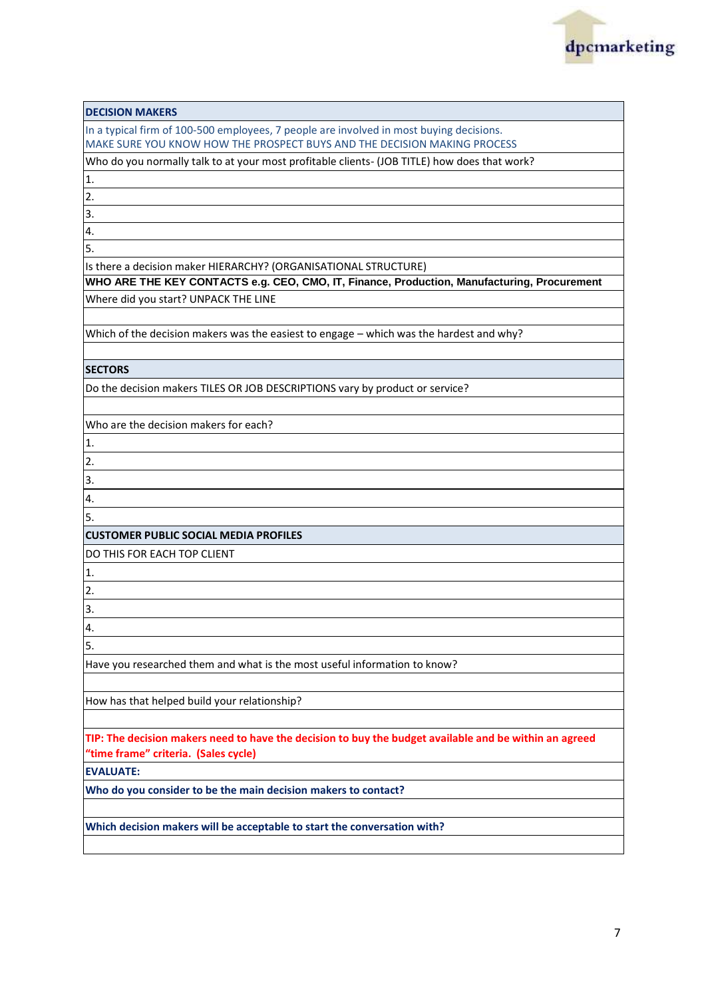

| <b>DECISION MAKERS</b>                                                                                                                                              |
|---------------------------------------------------------------------------------------------------------------------------------------------------------------------|
| In a typical firm of 100-500 employees, 7 people are involved in most buying decisions.<br>MAKE SURE YOU KNOW HOW THE PROSPECT BUYS AND THE DECISION MAKING PROCESS |
| Who do you normally talk to at your most profitable clients- (JOB TITLE) how does that work?                                                                        |
| 1.                                                                                                                                                                  |
| 2.                                                                                                                                                                  |
| 3.                                                                                                                                                                  |
| 4.                                                                                                                                                                  |
| 5.                                                                                                                                                                  |
| Is there a decision maker HIERARCHY? (ORGANISATIONAL STRUCTURE)                                                                                                     |
| WHO ARE THE KEY CONTACTS e.g. CEO, CMO, IT, Finance, Production, Manufacturing, Procurement                                                                         |
| Where did you start? UNPACK THE LINE                                                                                                                                |
| Which of the decision makers was the easiest to engage - which was the hardest and why?                                                                             |
|                                                                                                                                                                     |
| <b>SECTORS</b>                                                                                                                                                      |
| Do the decision makers TILES OR JOB DESCRIPTIONS vary by product or service?                                                                                        |
|                                                                                                                                                                     |
| Who are the decision makers for each?                                                                                                                               |
| 1.                                                                                                                                                                  |
| 2.                                                                                                                                                                  |
| 3.                                                                                                                                                                  |
| 4.                                                                                                                                                                  |
| 5.                                                                                                                                                                  |
| <b>CUSTOMER PUBLIC SOCIAL MEDIA PROFILES</b>                                                                                                                        |
| DO THIS FOR EACH TOP CLIENT                                                                                                                                         |
| 1.                                                                                                                                                                  |
| 2.                                                                                                                                                                  |
| 3.                                                                                                                                                                  |
| 4.                                                                                                                                                                  |
| 5.                                                                                                                                                                  |
| Have you researched them and what is the most useful information to know?                                                                                           |
|                                                                                                                                                                     |
| How has that helped build your relationship?                                                                                                                        |
| TIP: The decision makers need to have the decision to buy the budget available and be within an agreed                                                              |
| "time frame" criteria. (Sales cycle)                                                                                                                                |
| <b>EVALUATE:</b>                                                                                                                                                    |
| Who do you consider to be the main decision makers to contact?                                                                                                      |
|                                                                                                                                                                     |
| Which decision makers will be acceptable to start the conversation with?                                                                                            |
|                                                                                                                                                                     |
|                                                                                                                                                                     |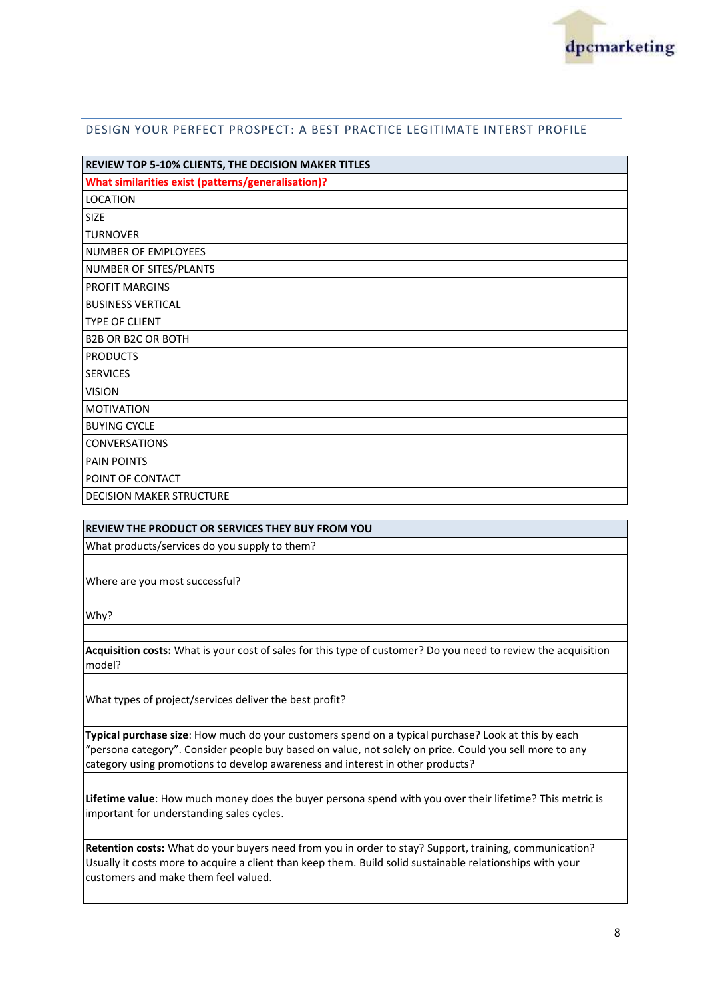

#### DESIGN YOUR PERFECT PROSPECT: A BEST PRACTICE LEGITIMATE INTERST PROFILE

| REVIEW TOP 5-10% CLIENTS, THE DECISION MAKER TITLES |  |
|-----------------------------------------------------|--|
| What similarities exist (patterns/generalisation)?  |  |
| <b>LOCATION</b>                                     |  |
| <b>SIZE</b>                                         |  |
| <b>TURNOVER</b>                                     |  |
| NUMBER OF EMPLOYEES                                 |  |
| NUMBER OF SITES/PLANTS                              |  |
| PROFIT MARGINS                                      |  |
| <b>BUSINESS VERTICAL</b>                            |  |
| <b>TYPE OF CLIENT</b>                               |  |
| <b>B2B OR B2C OR BOTH</b>                           |  |
| <b>PRODUCTS</b>                                     |  |
| <b>SERVICES</b>                                     |  |
| <b>VISION</b>                                       |  |
| <b>MOTIVATION</b>                                   |  |
| <b>BUYING CYCLE</b>                                 |  |
| <b>CONVERSATIONS</b>                                |  |
| <b>PAIN POINTS</b>                                  |  |
| POINT OF CONTACT                                    |  |
| <b>DECISION MAKER STRUCTURE</b>                     |  |

#### **REVIEW THE PRODUCT OR SERVICES THEY BUY FROM YOU**

What products/services do you supply to them?

Where are you most successful?

Why?

**Acquisition costs:** What is your cost of sales for this type of customer? Do you need to review the acquisition model?

What types of project/services deliver the best profit?

**Typical purchase size**: How much do your customers spend on a typical purchase? Look at this by each "persona category". Consider people buy based on value, not solely on price. Could you sell more to any category using promotions to develop awareness and interest in other products?

**Lifetime value**: How much money does the buyer persona spend with you over their lifetime? This metric is important for understanding sales cycles.

**Retention costs:** What do your buyers need from you in order to stay? Support, training, communication? Usually it costs more to acquire a client than keep them. Build solid sustainable relationships with your customers and make them feel valued.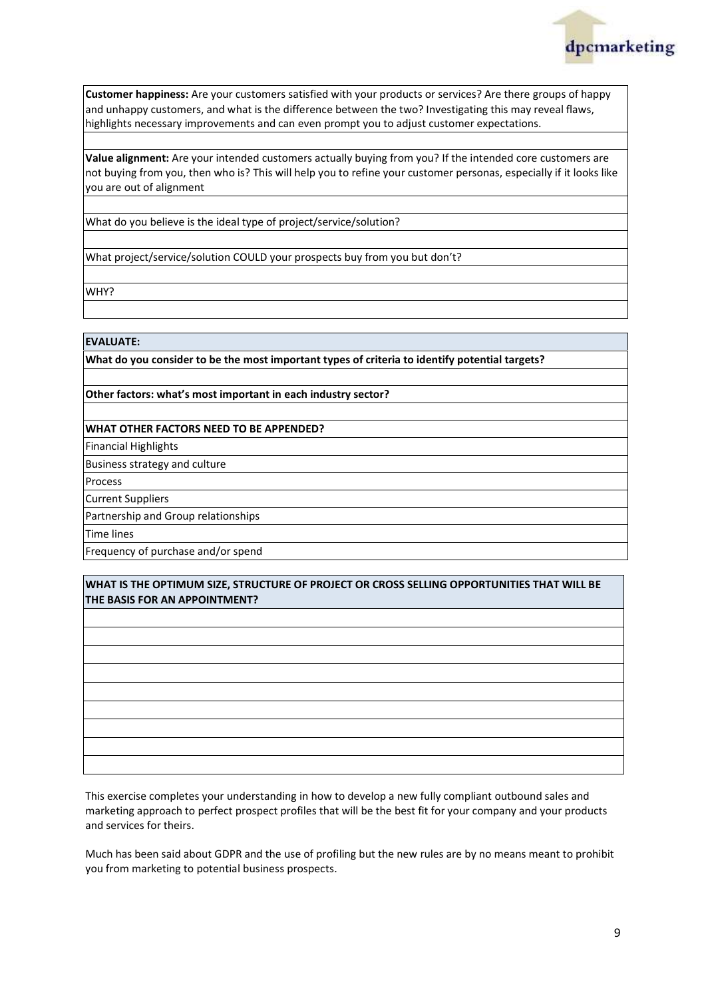

**Customer happiness:** Are your customers satisfied with your products or services? Are there groups of happy and unhappy customers, and what is the difference between the two? Investigating this may reveal flaws, highlights necessary improvements and can even prompt you to adjust customer expectations.

**Value alignment:** Are your intended customers actually buying from you? If the intended core customers are not buying from you, then who is? This will help you to refine your customer personas, especially if it looks like you are out of alignment

What do you believe is the ideal type of project/service/solution?

What project/service/solution COULD your prospects buy from you but don't?

WHY?

#### **EVALUATE:**

**What do you consider to be the most important types of criteria to identify potential targets?**

**Other factors: what's most important in each industry sector?**

#### **WHAT OTHER FACTORS NEED TO BE APPENDED?**

Financial Highlights

Business strategy and culture

Process

Current Suppliers

Partnership and Group relationships

Time lines

Frequency of purchase and/or spend

#### **WHAT IS THE OPTIMUM SIZE, STRUCTURE OF PROJECT OR CROSS SELLING OPPORTUNITIES THAT WILL BE THE BASIS FOR AN APPOINTMENT?**

This exercise completes your understanding in how to develop a new fully compliant outbound sales and marketing approach to perfect prospect profiles that will be the best fit for your company and your products and services for theirs.

Much has been said about GDPR and the use of profiling but the new rules are by no means meant to prohibit you from marketing to potential business prospects.